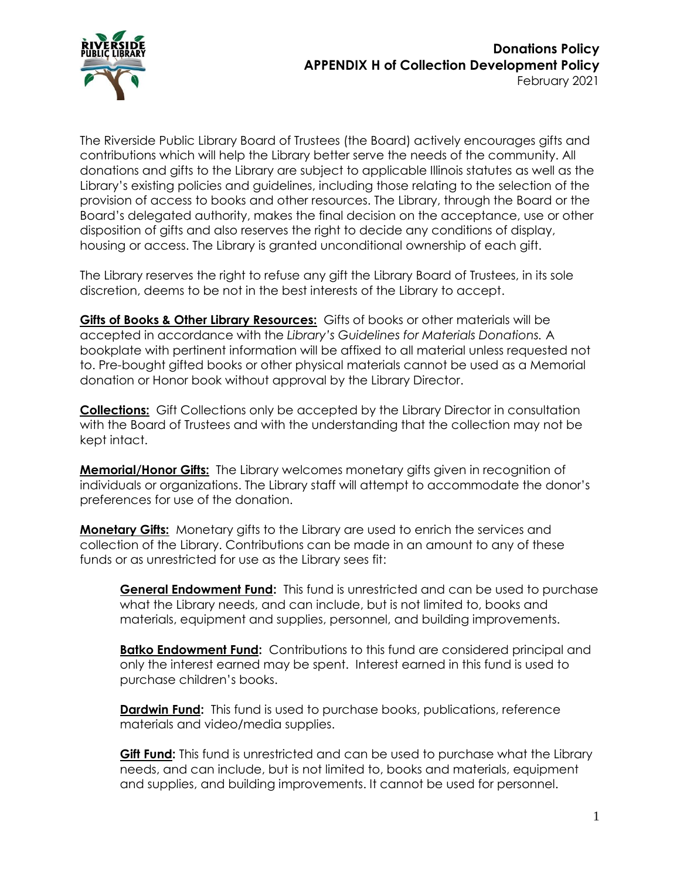

The Riverside Public Library Board of Trustees (the Board) actively encourages gifts and contributions which will help the Library better serve the needs of the community. All donations and gifts to the Library are subject to applicable Illinois statutes as well as the Library's existing policies and guidelines, including those relating to the selection of the provision of access to books and other resources. The Library, through the Board or the Board's delegated authority, makes the final decision on the acceptance, use or other disposition of gifts and also reserves the right to decide any conditions of display, housing or access. The Library is granted unconditional ownership of each gift.

The Library reserves the right to refuse any gift the Library Board of Trustees, in its sole discretion, deems to be not in the best interests of the Library to accept.

**Gifts of Books & Other Library Resources:** Gifts of books or other materials will be accepted in accordance with the *Library's Guidelines for Materials Donations.* A bookplate with pertinent information will be affixed to all material unless requested not to. Pre-bought gifted books or other physical materials cannot be used as a Memorial donation or Honor book without approval by the Library Director.

**Collections:** Gift Collections only be accepted by the Library Director in consultation with the Board of Trustees and with the understanding that the collection may not be kept intact.

**Memorial/Honor Gifts:** The Library welcomes monetary gifts given in recognition of individuals or organizations. The Library staff will attempt to accommodate the donor's preferences for use of the donation.

**Monetary Gifts:** Monetary gifts to the Library are used to enrich the services and collection of the Library. Contributions can be made in an amount to any of these funds or as unrestricted for use as the Library sees fit:

**General Endowment Fund:** This fund is unrestricted and can be used to purchase what the Library needs, and can include, but is not limited to, books and materials, equipment and supplies, personnel, and building improvements.

**Batko Endowment Fund:** Contributions to this fund are considered principal and only the interest earned may be spent. Interest earned in this fund is used to purchase children's books.

**Dardwin Fund:** This fund is used to purchase books, publications, reference materials and video/media supplies.

**Gift Fund:** This fund is unrestricted and can be used to purchase what the Library needs, and can include, but is not limited to, books and materials, equipment and supplies, and building improvements. It cannot be used for personnel.